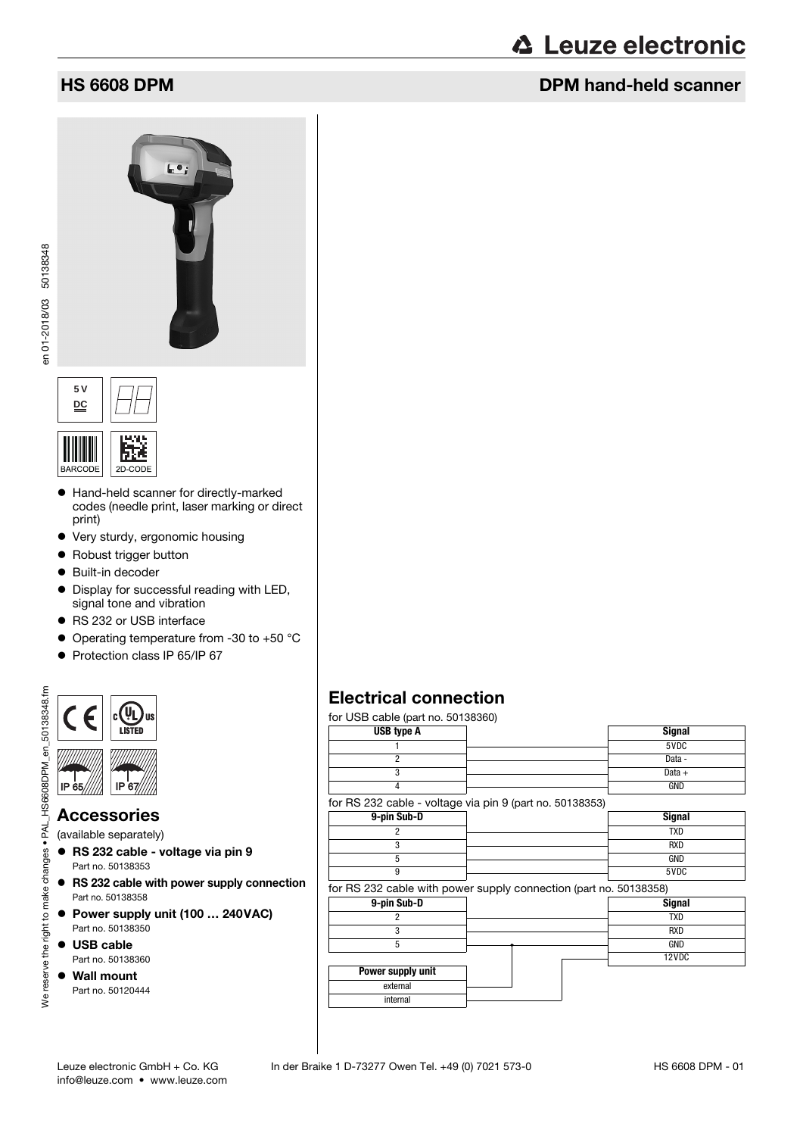# **∆ Leuze electronic**

## **HS 6608 DPM DPM** hand-held scanner





- Hand-held scanner for directly-marked codes (needle print, laser marking or direct print)
- Very sturdy, ergonomic housing
- Robust trigger button
- Built-in decoder
- $\bullet$  Display for successful reading with LED, signal tone and vibration
- RS 232 or USB interface
- Operating temperature from -30 to +50 °C
- Protection class IP 65/IP 67



#### Accessories

(available separately)

- RS 232 cable voltage via pin 9 Part no. 50138353
- RS 232 cable with power supply connection Part no. 50138358
- Power supply unit (100 ... 240VAC) Part no. 50138350
- USB cable Part no. 50138360
- Wall mount Part no. 50120444

## Electrical connection

for USB cable (part no. 50138360)

| <b>USB type A</b>                                                 | <b>Signal</b> |
|-------------------------------------------------------------------|---------------|
|                                                                   | 5VDC          |
| $\overline{c}$                                                    | Data -        |
| 3                                                                 | Data $+$      |
| 4                                                                 | <b>GND</b>    |
| for RS 232 cable - voltage via pin 9 (part no. 50138353)          |               |
| 9-pin Sub-D                                                       | <b>Signal</b> |
| 2                                                                 | <b>TXD</b>    |
| 3                                                                 | <b>RXD</b>    |
| 5                                                                 | <b>GND</b>    |
| 9                                                                 | 5VDC          |
| for RS 232 cable with power supply connection (part no. 50138358) |               |
| 9-pin Sub-D                                                       | <b>Signal</b> |
| 2                                                                 | <b>TXD</b>    |
| 3                                                                 | <b>RXD</b>    |
| 5                                                                 | GND           |
|                                                                   | 12VDC         |
| Power supply unit                                                 |               |
| external                                                          |               |
| internal                                                          |               |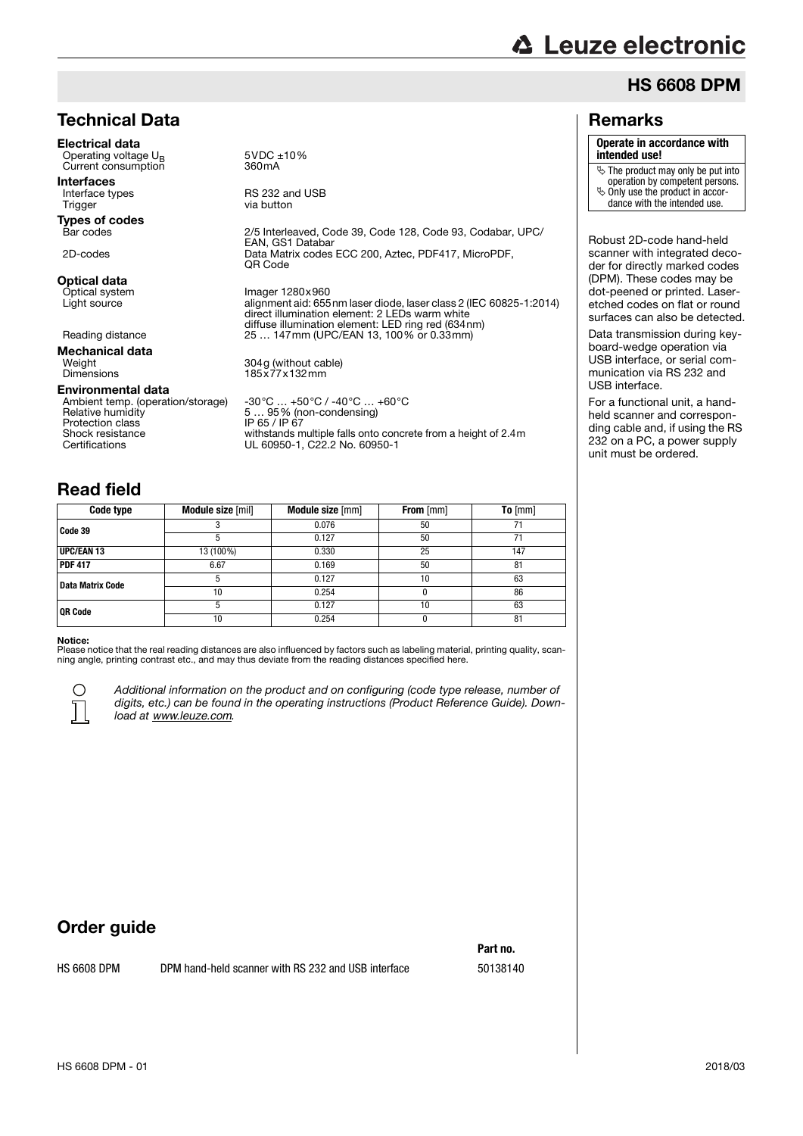# **△ Leuze electronic**

## HS 6608 DPM

#### Remarks

#### **Operate in accordance with**

**intended use!**

The product may only be put into

operation by competent persons.

 $\leftrightarrow$  Only use the product in accordance with the intended use.

Robust 2D-code hand-held scanner with integrated decoder for directly marked codes (DPM). These codes may be dot-peened or printed. Laseretched codes on flat or round surfaces can also be detected. Data transmission during key-

board-wedge operation via USB interface, or serial communication via RS 232 and USB interface.

For a functional unit, a handheld scanner and corresponding cable and, if using the RS 232 on a PC, a power supply unit must be ordered.

### Technical Data

Electrical data Operating voltage U<sub>B</sub> 5VDC ±10%<br>Current consumption 360mA Current consumption

Interfaces<br>Interface types Interface types **RS 232 and USB**<br>
Trigger **RES RIGHT**rigger **RIGHT**rigger

**Types of codes**<br>Bar codes

**Optical data**<br>Optical system

**Mechanical data**<br>Weight

Environmental data

Ambient temp. (operation/storage)<br>Relative humidity Protection class<br>Shock resistance

2/5 Interleaved, Code 39, Code 128, Code 93, Codabar, UPC/ EAN, GS1 Databar 2D-codes Data Matrix codes ECC 200, Aztec, PDF417, MicroPDF, QR Code Optical system **Imager 1280x960**<br>
Light source **Images** alignment aid: 655 Light source alignment aid: 655nm laser diode, laser class 2 (IEC 60825-1:2014) direct illumination element: 2 LEDs warm white

diffuse illumination element: LED ring red (634nm) Reading distance 25 … 147mm (UPC/EAN 13, 100% or 0.33mm)

Weight 304g (without cable) Dimensions 185x77x132mm

via button

-30°C … +50°C / -40°C … +60°C<br>5 … 95% (non-condensing)<br>IP 65 / IP 67 Shock resistance withstands multiple falls onto concrete from a height of 2.4m Certifications UL 60950-1, C22.2 No. 60950-1

## Read field

| Code type        | Module size [mil] | Module size [mm] | From [mm] | To $[mm]$ |
|------------------|-------------------|------------------|-----------|-----------|
| Code 39          |                   | 0.076            | 50        | 71        |
|                  | 5                 | 0.127            | 50        | 71        |
| UPC/EAN 13       | 13 (100%)         | 0.330            | 25        | 147       |
| <b>PDF 417</b>   | 6.67              | 0.169            | 50        | 81        |
| Data Matrix Code |                   | 0.127            | 10        | 63        |
|                  | 10                | 0.254            |           | 86        |
| <b>OR Code</b>   |                   | 0.127            | 10        | 63        |
|                  | 10                | 0.254            |           | 81        |

#### Notice:

Please notice that the real reading distances are also influenced by factors such as labeling material, printing quality, scan-<br>ning angle, printing contrast etc., and may thus deviate from the reading distances specified



Additional information on the product and on configuring (code type release, number of digits, etc.) can be found in the operating instructions (Product Reference Guide). Download at *www.leuze.com*.

## Order guide

HS 6608 DPM DPM hand-held scanner with RS 232 and USB interface 50138140

**Part no.**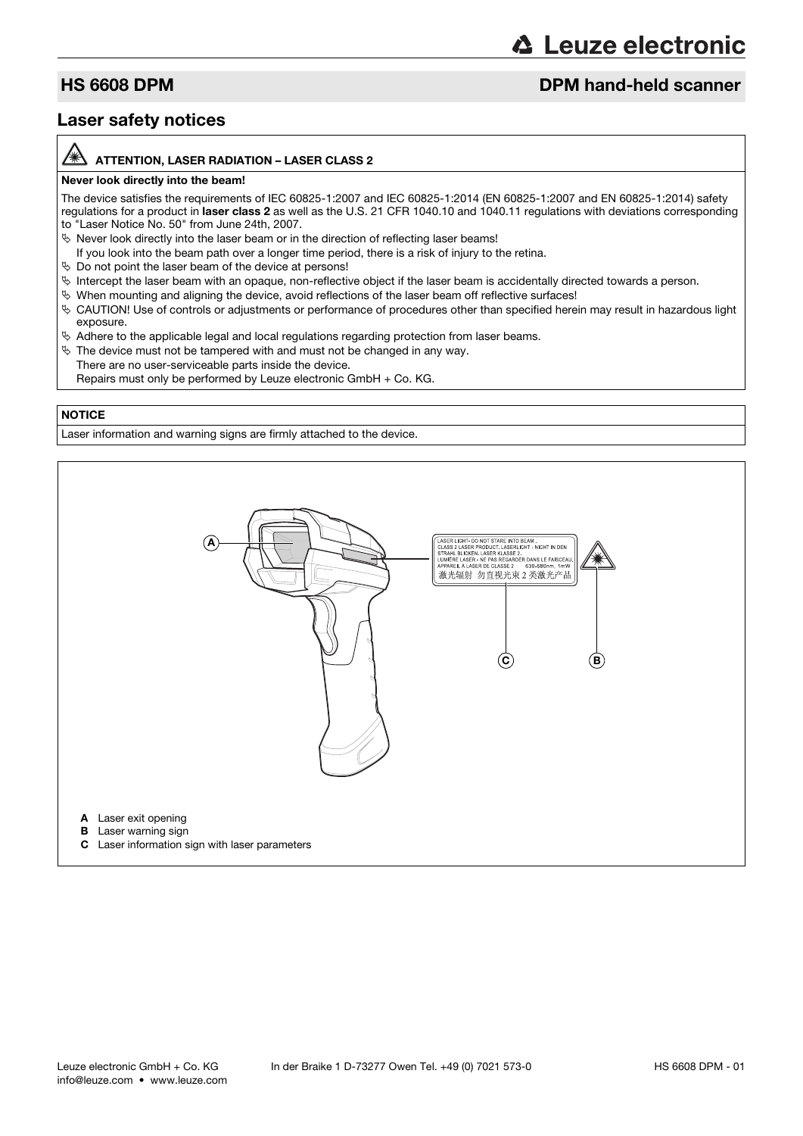# **△ Leuze electronic**

### **HS 6608 DPM discription of the control of the DPM hand-held scanner**

### Laser safety notices

#### ATTENTION, LASER RADIATION – LASER CLASS 2

#### Never look directly into the beam!

The device satisfies the requirements of IEC 60825-1:2007 and IEC 60825-1:2014 (EN 60825-1:2007 and EN 60825-1:2014) safety regulations for a product in laser class 2 as well as the U.S. 21 CFR 1040.10 and 1040.11 regulations with deviations corresponding to "Laser Notice No. 50" from June 24th, 2007.

- $\%$  Never look directly into the laser beam or in the direction of reflecting laser beams!
- If you look into the beam path over a longer time period, there is a risk of injury to the retina.
- $\%$  Do not point the laser beam of the device at persons!
- $\%$  Intercept the laser beam with an opaque, non-reflective object if the laser beam is accidentally directed towards a person.
- $\%$  When mounting and aligning the device, avoid reflections of the laser beam off reflective surfaces!
- CAUTION! Use of controls or adjustments or performance of procedures other than specified herein may result in hazardous light exposure.
- $\&$  Adhere to the applicable legal and local regulations regarding protection from laser beams.
- $\&$  The device must not be tampered with and must not be changed in any way. There are no user-serviceable parts inside the device.
- Repairs must only be performed by Leuze electronic GmbH + Co. KG.

#### **NOTICE**

Laser information and warning signs are firmly attached to the device.

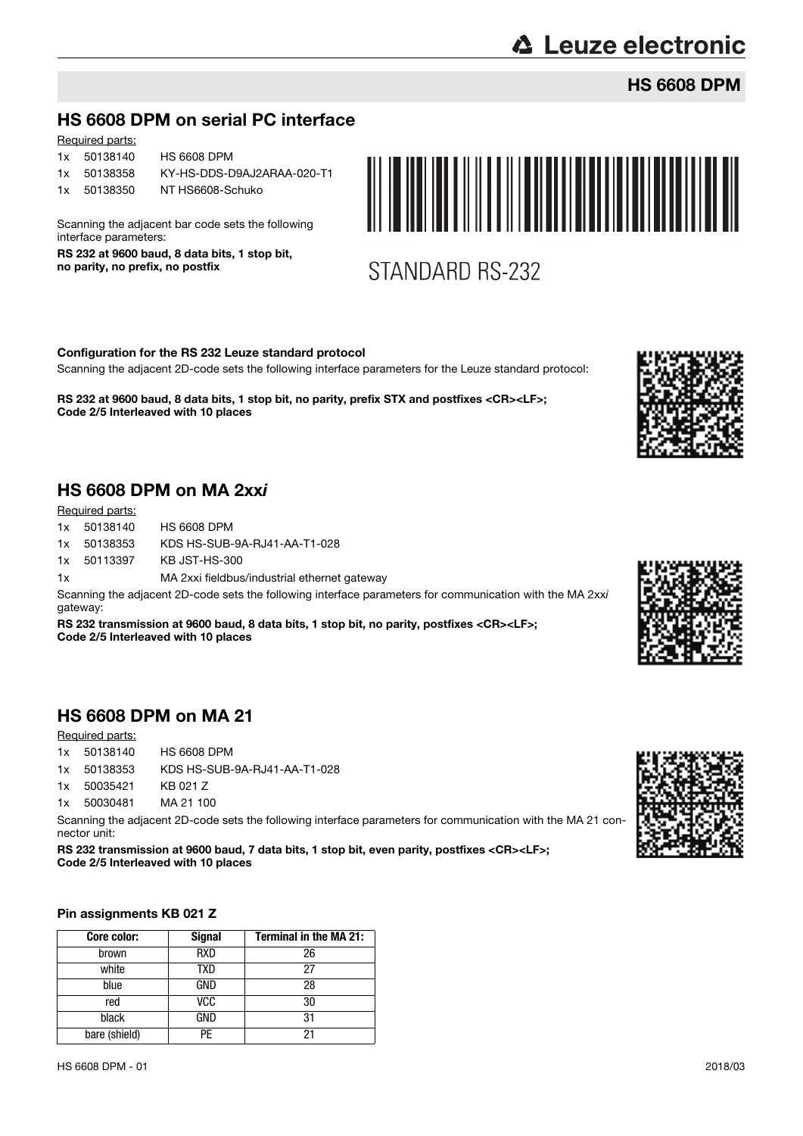# **△ Leuze electronic**

## HS 6608 DPM

## HS 6608 DPM on serial PC interface

| <u>Required parts.</u> |                            |
|------------------------|----------------------------|
| 1x 50138140            | <b>HS 6608 DPM</b>         |
| 1x 50138358            | KY-HS-DDS-D9AJ2ARAA-020-T1 |

Required parts:

1x 50138350 NT HS6608-Schuko

Scanning the adjacent bar code sets the following interface parameters:

RS 232 at 9600 baud, 8 data bits, 1 stop bit, no parity, no prefix, no postfix



STANDARD RS-232

Configuration for the RS 232 Leuze standard protocol

Scanning the adjacent 2D-code sets the following interface parameters for the Leuze standard protocol:

RS 232 at 9600 baud, 8 data bits, 1 stop bit, no parity, prefix STX and postfixes <CR><LF>; Code 2/5 Interleaved with 10 places



## HS 6608 DPM on MA 2xxi

Required parts:

|    | 1x 50138140 | <b>HS 6608 DPM</b>                           |
|----|-------------|----------------------------------------------|
|    | 1x 50138353 | KDS HS-SUB-9A-RJ41-AA-T1-028                 |
|    | 1x 50113397 | KB JST-HS-300                                |
| 1x |             | MA 2xxi fieldbus/industrial ethernet gateway |

Scanning the adjacent 2D-code sets the following interface parameters for communication with the MA 2xxi gateway:

RS 232 transmission at 9600 baud, 8 data bits, 1 stop bit, no parity, postfixes <CR><LF>; Code 2/5 Interleaved with 10 places

## HS 6608 DPM on MA 21

#### Required parts:

| 1x 50138140 | <b>HS 6608 DPM</b>           |
|-------------|------------------------------|
| 1x 50138353 | KDS HS-SUB-9A-RJ41-AA-T1-028 |
| 1x 50035421 | KB 021 Z                     |

1x 50030481 MA 21 100

Scanning the adjacent 2D-code sets the following interface parameters for communication with the MA 21 connector unit:

RS 232 transmission at 9600 baud, 7 data bits, 1 stop bit, even parity, postfixes <CR><LF>; Code 2/5 Interleaved with 10 places

#### Pin assignments KB 021 Z

| Core color:   | <b>Signal</b> | <b>Terminal in the MA 21:</b> |
|---------------|---------------|-------------------------------|
| brown         | <b>RXD</b>    | 26                            |
| white         | TXD           | 27                            |
| blue          | GND           | 28                            |
| red           | <b>VCC</b>    | 30                            |
| black         | GND           | 31                            |
| bare (shield) | PF            | 21                            |



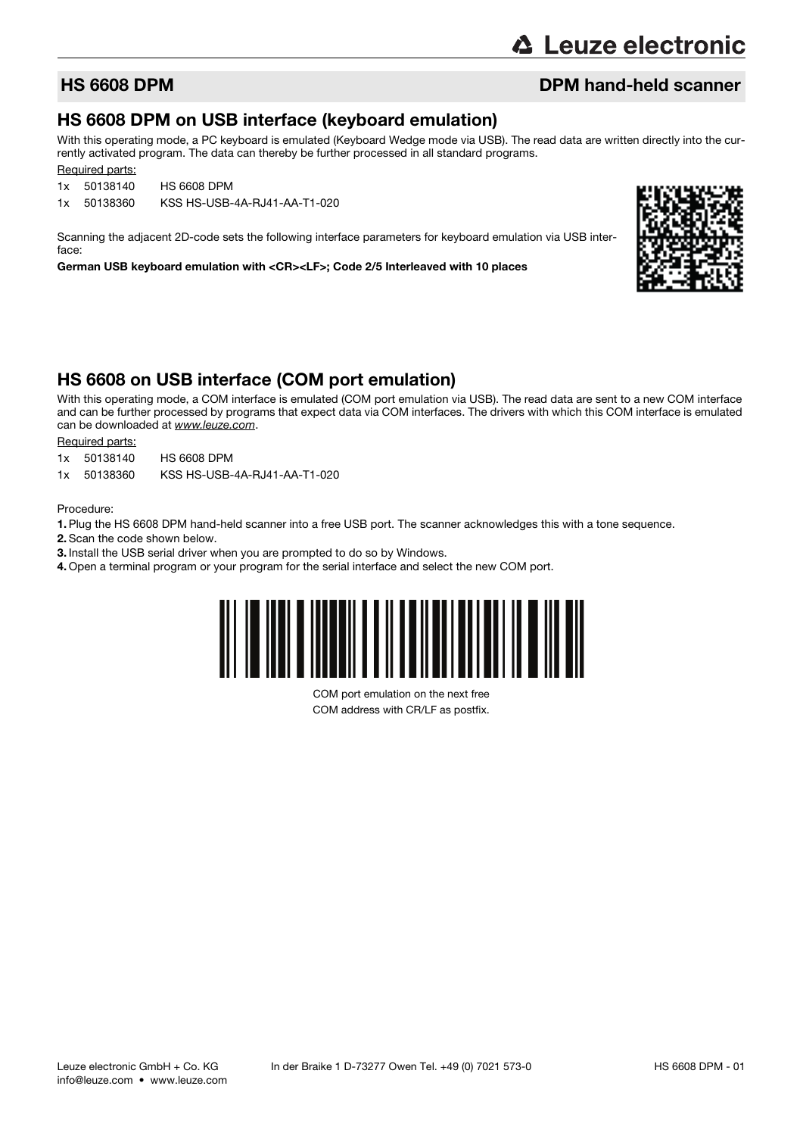## **HS 6608 DPM discription of the control of the DPM hand-held scanner**

### HS 6608 DPM on USB interface (keyboard emulation)

With this operating mode, a PC keyboard is emulated (Keyboard Wedge mode via USB). The read data are written directly into the currently activated program. The data can thereby be further processed in all standard programs.

Required parts:

1x 50138140 HS 6608 DPM

1x 50138360 KSS HS-USB-4A-RJ41-AA-T1-020

Scanning the adjacent 2D-code sets the following interface parameters for keyboard emulation via USB interface:

German USB keyboard emulation with <CR><LF>; Code 2/5 Interleaved with 10 places



### HS 6608 on USB interface (COM port emulation)

With this operating mode, a COM interface is emulated (COM port emulation via USB). The read data are sent to a new COM interface and can be further processed by programs that expect data via COM interfaces. The drivers with which this COM interface is emulated can be downloaded at www.leuze.com.

Required parts:

- 1x 50138140 HS 6608 DPM
- 1x 50138360 KSS HS-USB-4A-RJ41-AA-T1-020

Procedure:

- 1. Plug the HS 6608 DPM hand-held scanner into a free USB port. The scanner acknowledges this with a tone sequence.
- 2. Scan the code shown below.
- 3. Install the USB serial driver when you are prompted to do so by Windows.
- 4. Open a terminal program or your program for the serial interface and select the new COM port.



COM port emulation on the next free COM address with CR/LF as postfix.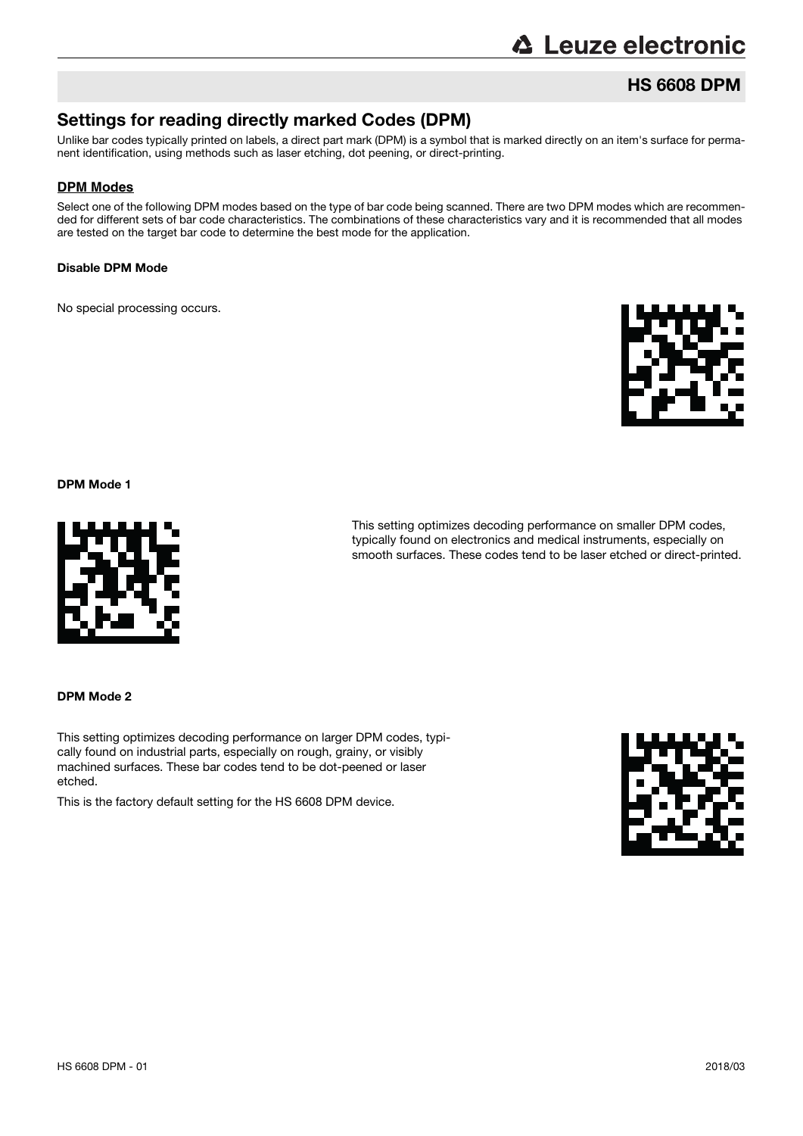# **∆ Leuze electronic**

## HS 6608 DPM

## Settings for reading directly marked Codes (DPM)

Unlike bar codes typically printed on labels, a direct part mark (DPM) is a symbol that is marked directly on an item's surface for permanent identification, using methods such as laser etching, dot peening, or direct-printing.

#### **DPM Modes**

Select one of the following DPM modes based on the type of bar code being scanned. There are two DPM modes which are recommended for different sets of bar code characteristics. The combinations of these characteristics vary and it is recommended that all modes are tested on the target bar code to determine the best mode for the application.

#### Disable DPM Mode

No special processing occurs.



DPM Mode 1



This setting optimizes decoding performance on smaller DPM codes, typically found on electronics and medical instruments, especially on smooth surfaces. These codes tend to be laser etched or direct-printed.

DPM Mode 2

This setting optimizes decoding performance on larger DPM codes, typically found on industrial parts, especially on rough, grainy, or visibly machined surfaces. These bar codes tend to be dot-peened or laser etched.

This is the factory default setting for the HS 6608 DPM device.

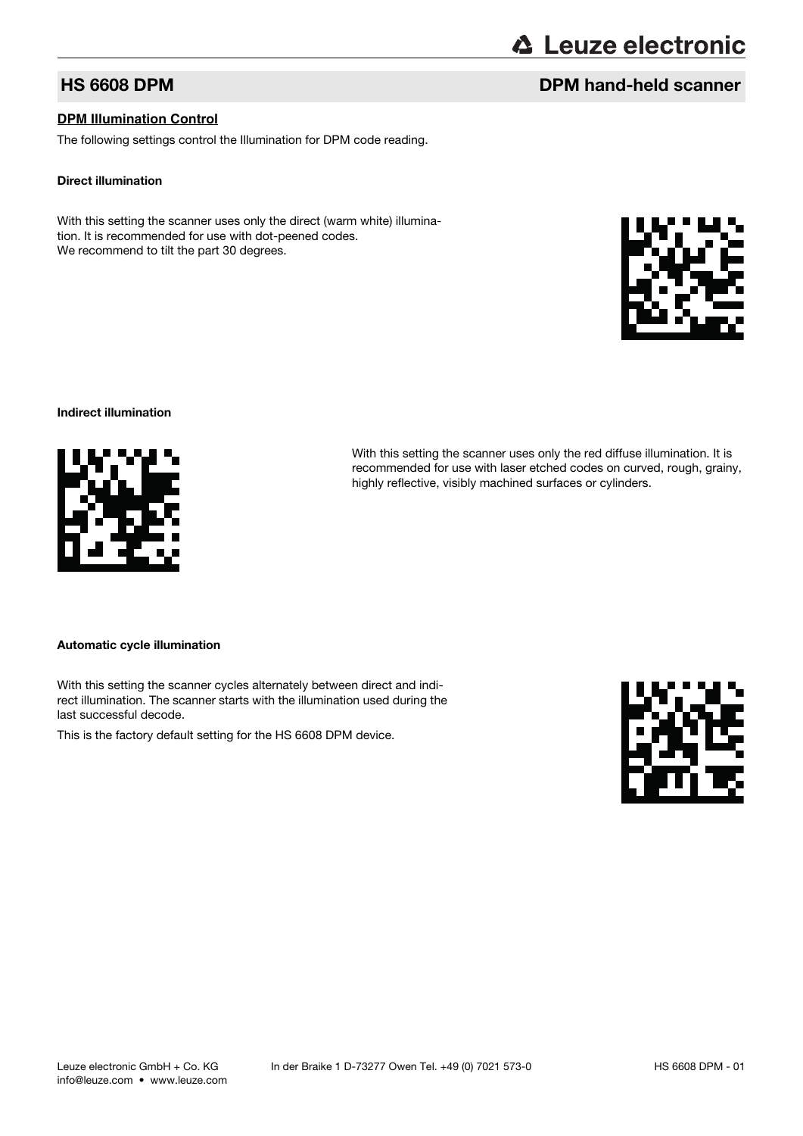#### **DPM Illumination Control**

The following settings control the Illumination for DPM code reading.

#### Direct illumination

Indirect illumination

With this setting the scanner uses only the direct (warm white) illumination. It is recommended for use with dot-peened codes. We recommend to tilt the part 30 degrees.

Automatic cycle illumination

With this setting the scanner cycles alternately between direct and indirect illumination. The scanner starts with the illumination used during the last successful decode.

This is the factory default setting for the HS 6608 DPM device.





# **△ Leuze electronic**

With this setting the scanner uses only the red diffuse illumination. It is recommended for use with laser etched codes on curved, rough, grainy,

highly reflective, visibly machined surfaces or cylinders.

## **HS 6608 DPM DPM** hand-held scanner